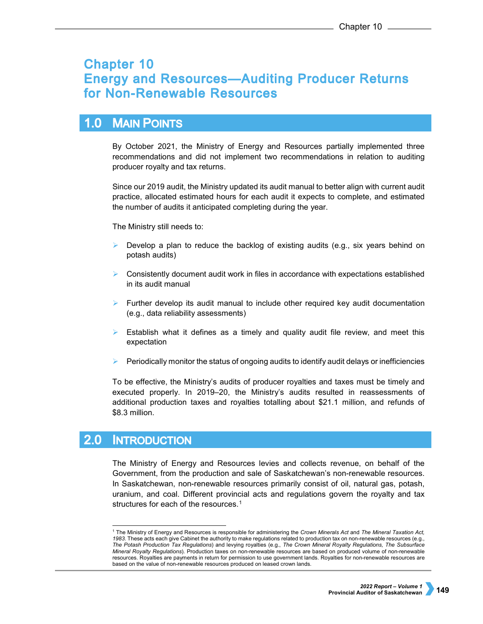# **Chapter 10 Energy and Resources-Auditing Producer Returns** for Non-Renewable Resources

### $1.0$ **MAIN POINTS**

By October 2021, the Ministry of Energy and Resources partially implemented three recommendations and did not implement two recommendations in relation to auditing producer royalty and tax returns.

Since our 2019 audit, the Ministry updated its audit manual to better align with current audit practice, allocated estimated hours for each audit it expects to complete, and estimated the number of audits it anticipated completing during the year.

The Ministry still needs to:

- Develop a plan to reduce the backlog of existing audits (e.g., six years behind on potash audits)
- Consistently document audit work in files in accordance with expectations established in its audit manual
- $\triangleright$  Further develop its audit manual to include other required key audit documentation (e.g., data reliability assessments)
- $\triangleright$  Establish what it defines as a timely and quality audit file review, and meet this expectation
- $\triangleright$  Periodically monitor the status of ongoing audits to identify audit delays or inefficiencies

To be effective, the Ministry's audits of producer royalties and taxes must be timely and executed properly. In 2019–20, the Ministry's audits resulted in reassessments of additional production taxes and royalties totalling about \$21.1 million, and refunds of \$8.3 million.

#### $2.0$ **INTRODUCTION**

The Ministry of Energy and Resources levies and collects revenue, on behalf of the Government, from the production and sale of Saskatchewan's non-renewable resources. In Saskatchewan, non-renewable resources primarily consist of oil, natural gas, potash, uranium, and coal. Different provincial acts and regulations govern the royalty and tax structures for each of the resources.<sup>[1](#page-0-0)</sup>

<span id="page-0-0"></span> <sup>1</sup> The Ministry of Energy and Resources is responsible for administering the *Crown Minerals Act* and *The Mineral Taxation Act, 1983.* These acts each give Cabinet the authority to make regulations related to production tax on non-renewable resources (e.g., *The Potash Production Tax Regulations*) and levying royalties (e.g., *The Crown Mineral Royalty Regulations, The Subsurface Mineral Royalty Regulations*). Production taxes on non-renewable resources are based on produced volume of non-renewable resources. Royalties are payments in return for permission to use government lands. Royalties for non-renewable resources are based on the value of non-renewable resources produced on leased crown lands.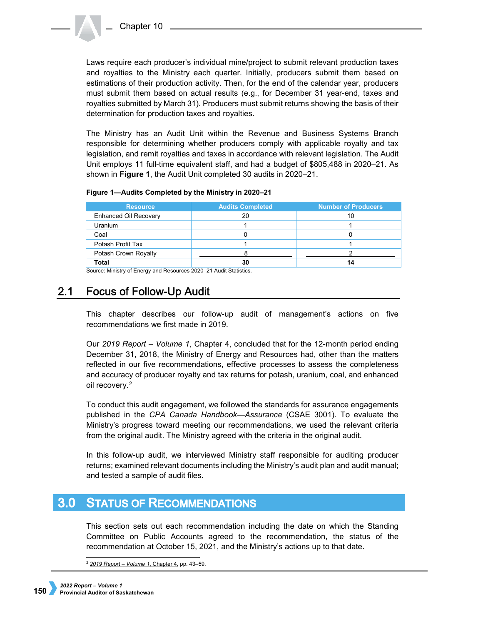Laws require each producer's individual mine/project to submit relevant production taxes and royalties to the Ministry each quarter. Initially, producers submit them based on estimations of their production activity. Then, for the end of the calendar year, producers must submit them based on actual results (e.g., for December 31 year-end, taxes and royalties submitted by March 31). Producers must submit returns showing the basis of their determination for production taxes and royalties.

The Ministry has an Audit Unit within the Revenue and Business Systems Branch responsible for determining whether producers comply with applicable royalty and tax legislation, and remit royalties and taxes in accordance with relevant legislation. The Audit Unit employs 11 full-time equivalent staff, and had a budget of \$805,488 in 2020–21. As shown in **Figure 1**, the Audit Unit completed 30 audits in 2020–21.

# **Figure 1—Audits Completed by the Ministry in 2020–21**

| <b>Resource</b>              | <b>Audits Completed</b> | <b>Number of Producers</b> |
|------------------------------|-------------------------|----------------------------|
| <b>Enhanced Oil Recovery</b> | 20                      | 10                         |
| <b>Uranium</b>               |                         |                            |
| Coal                         |                         |                            |
| Potash Profit Tax            |                         |                            |
| Potash Crown Royalty         |                         |                            |
| <b>Total</b>                 | 30                      |                            |

Source: Ministry of Energy and Resources 2020–21 Audit Statistics.

### $2.1$ **Focus of Follow-Up Audit**

This chapter describes our follow-up audit of management's actions on five recommendations we first made in 2019.

Our *2019 Report – Volume 1*, Chapter 4, concluded that for the 12-month period ending December 31, 2018, the Ministry of Energy and Resources had, other than the matters reflected in our five recommendations, effective processes to assess the completeness and accuracy of producer royalty and tax returns for potash, uranium, coal, and enhanced oil recovery.[2](#page-1-0) 

To conduct this audit engagement, we followed the standards for assurance engagements published in the *CPA Canada Handbook—Assurance* (CSAE 3001). To evaluate the Ministry's progress toward meeting our recommendations, we used the relevant criteria from the original audit. The Ministry agreed with the criteria in the original audit.

In this follow-up audit, we interviewed Ministry staff responsible for auditing producer returns; examined relevant documents including the Ministry's audit plan and audit manual; and tested a sample of audit files.

### <span id="page-1-0"></span> $3.0$ **STATUS OF RECOMMENDATIONS**

This section sets out each recommendation including the date on which the Standing Committee on Public Accounts agreed to the recommendation, the status of the recommendation at October 15, 2021, and the Ministry's actions up to that date.

<sup>2</sup> *[2019 Report – Volume 1](https://auditor.sk.ca/pub/publications/public_reports/2019/Volume_1/04_Energy%20and%20Resources%E2%80%94Auditing%20Non-Renewable%20Resources%20for%20Producer%20Returns.pdf)*, Chapter 4, pp. 43–59.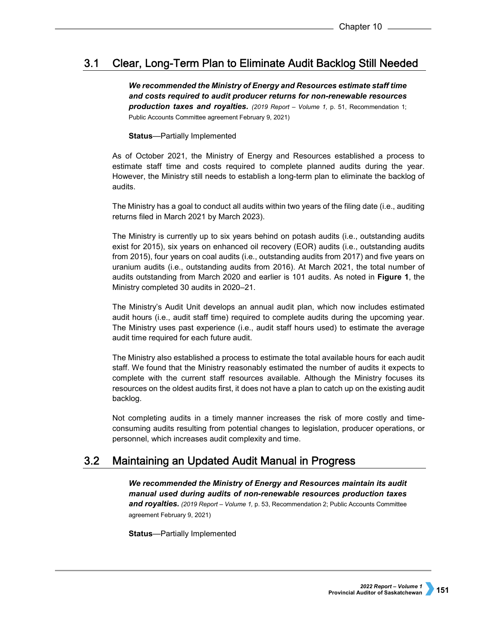### $3.1$ Clear, Long-Term Plan to Eliminate Audit Backlog Still Needed

*We recommended the Ministry of Energy and Resources estimate staff time and costs required to audit producer returns for non-renewable resources production taxes and royalties. (2019 Report – Volume 1,* p. 51, Recommendation 1; Public Accounts Committee agreement February 9, 2021)

# **Status**—Partially Implemented

As of October 2021, the Ministry of Energy and Resources established a process to estimate staff time and costs required to complete planned audits during the year. However, the Ministry still needs to establish a long-term plan to eliminate the backlog of audits.

The Ministry has a goal to conduct all audits within two years of the filing date (i.e., auditing returns filed in March 2021 by March 2023).

The Ministry is currently up to six years behind on potash audits (i.e., outstanding audits exist for 2015), six years on enhanced oil recovery (EOR) audits (i.e., outstanding audits from 2015), four years on coal audits (i.e., outstanding audits from 2017) and five years on uranium audits (i.e., outstanding audits from 2016). At March 2021, the total number of audits outstanding from March 2020 and earlier is 101 audits. As noted in **Figure 1**, the Ministry completed 30 audits in 2020–21.

The Ministry's Audit Unit develops an annual audit plan, which now includes estimated audit hours (i.e., audit staff time) required to complete audits during the upcoming year. The Ministry uses past experience (i.e., audit staff hours used) to estimate the average audit time required for each future audit.

The Ministry also established a process to estimate the total available hours for each audit staff. We found that the Ministry reasonably estimated the number of audits it expects to complete with the current staff resources available. Although the Ministry focuses its resources on the oldest audits first, it does not have a plan to catch up on the existing audit backlog.

Not completing audits in a timely manner increases the risk of more costly and timeconsuming audits resulting from potential changes to legislation, producer operations, or personnel, which increases audit complexity and time.

### $3.2<sub>2</sub>$ Maintaining an Updated Audit Manual in Progress

*We recommended the Ministry of Energy and Resources maintain its audit manual used during audits of non-renewable resources production taxes and royalties. (2019 Report – Volume 1,* p. 53, Recommendation 2; Public Accounts Committee agreement February 9, 2021)

**Status**—Partially Implemented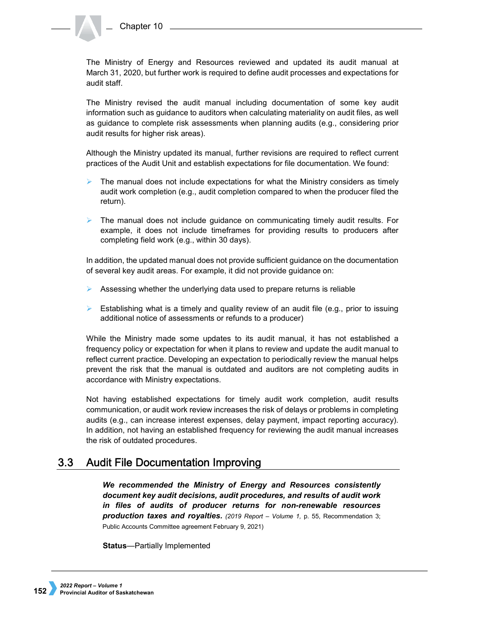The Ministry of Energy and Resources reviewed and updated its audit manual at March 31, 2020, but further work is required to define audit processes and expectations for audit staff.

The Ministry revised the audit manual including documentation of some key audit information such as guidance to auditors when calculating materiality on audit files, as well as guidance to complete risk assessments when planning audits (e.g., considering prior audit results for higher risk areas).

Although the Ministry updated its manual, further revisions are required to reflect current practices of the Audit Unit and establish expectations for file documentation. We found:

- The manual does not include expectations for what the Ministry considers as timely audit work completion (e.g., audit completion compared to when the producer filed the return).
- $\triangleright$  The manual does not include guidance on communicating timely audit results. For example, it does not include timeframes for providing results to producers after completing field work (e.g., within 30 days).

In addition, the updated manual does not provide sufficient guidance on the documentation of several key audit areas. For example, it did not provide guidance on:

- $\triangleright$  Assessing whether the underlying data used to prepare returns is reliable
- Establishing what is a timely and quality review of an audit file (e.g., prior to issuing additional notice of assessments or refunds to a producer)

While the Ministry made some updates to its audit manual, it has not established a frequency policy or expectation for when it plans to review and update the audit manual to reflect current practice. Developing an expectation to periodically review the manual helps prevent the risk that the manual is outdated and auditors are not completing audits in accordance with Ministry expectations.

Not having established expectations for timely audit work completion, audit results communication, or audit work review increases the risk of delays or problems in completing audits (e.g., can increase interest expenses, delay payment, impact reporting accuracy). In addition, not having an established frequency for reviewing the audit manual increases the risk of outdated procedures.

### $3.3<sub>1</sub>$ **Audit File Documentation Improving**

*We recommended the Ministry of Energy and Resources consistently document key audit decisions, audit procedures, and results of audit work in files of audits of producer returns for non-renewable resources production taxes and royalties. (2019 Report – Volume 1,* p. 55, Recommendation 3; Public Accounts Committee agreement February 9, 2021)

**Status**—Partially Implemented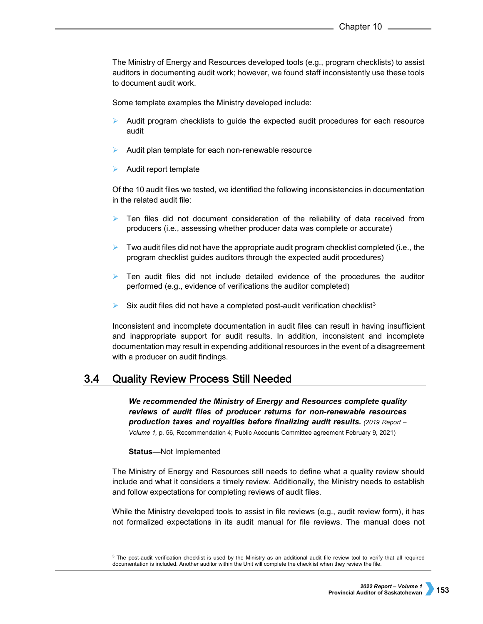The Ministry of Energy and Resources developed tools (e.g., program checklists) to assist auditors in documenting audit work; however, we found staff inconsistently use these tools to document audit work.

Some template examples the Ministry developed include:

- Audit program checklists to guide the expected audit procedures for each resource audit
- Audit plan template for each non-renewable resource
- Audit report template

Of the 10 audit files we tested, we identified the following inconsistencies in documentation in the related audit file:

- Ten files did not document consideration of the reliability of data received from producers (i.e., assessing whether producer data was complete or accurate)
- Two audit files did not have the appropriate audit program checklist completed (i.e., the program checklist guides auditors through the expected audit procedures)
- $\triangleright$  Ten audit files did not include detailed evidence of the procedures the auditor performed (e.g., evidence of verifications the auditor completed)
- Six audit files did not have a completed post-audit verification checklist<sup>3</sup>

Inconsistent and incomplete documentation in audit files can result in having insufficient and inappropriate support for audit results. In addition, inconsistent and incomplete documentation may result in expending additional resources in the event of a disagreement with a producer on audit findings.

#### $3.4$ **Quality Review Process Still Needed**

*We recommended the Ministry of Energy and Resources complete quality reviews of audit files of producer returns for non-renewable resources production taxes and royalties before finalizing audit results. (2019 Report – Volume 1,* p. 56, Recommendation 4; Public Accounts Committee agreement February 9, 2021)

### **Status**—Not Implemented

The Ministry of Energy and Resources still needs to define what a quality review should include and what it considers a timely review. Additionally, the Ministry needs to establish and follow expectations for completing reviews of audit files.

While the Ministry developed tools to assist in file reviews (e.g., audit review form), it has not formalized expectations in its audit manual for file reviews. The manual does not

<span id="page-4-0"></span> $\overline{3}$  The post-audit verification checklist is used by the Ministry as an additional audit file review tool to verify that all required documentation is included. Another auditor within the Unit will complete the checklist when they review the file.